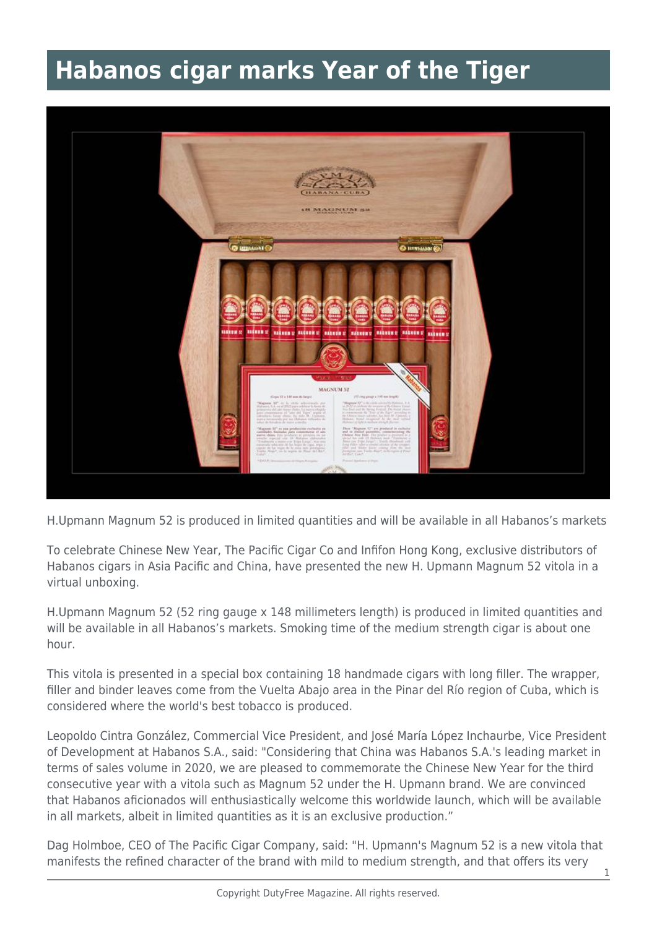## **Habanos cigar marks Year of the Tiger**



H.Upmann Magnum 52 is produced in limited quantities and will be available in all Habanos's markets

To celebrate Chinese New Year, The Pacific Cigar Co and Infifon Hong Kong, exclusive distributors of Habanos cigars in Asia Pacific and China, have presented the new H. Upmann Magnum 52 vitola in a virtual unboxing.

H.Upmann Magnum 52 (52 ring gauge x 148 millimeters length) is produced in limited quantities and will be available in all Habanos's markets. Smoking time of the medium strength cigar is about one hour.

This vitola is presented in a special box containing 18 handmade cigars with long filler. The wrapper, filler and binder leaves come from the Vuelta Abajo area in the Pinar del Río region of Cuba, which is considered where the world's best tobacco is produced.

Leopoldo Cintra González, Commercial Vice President, and José María López Inchaurbe, Vice President of Development at Habanos S.A., said: "Considering that China was Habanos S.A.'s leading market in terms of sales volume in 2020, we are pleased to commemorate the Chinese New Year for the third consecutive year with a vitola such as Magnum 52 under the H. Upmann brand. We are convinced that Habanos aficionados will enthusiastically welcome this worldwide launch, which will be available in all markets, albeit in limited quantities as it is an exclusive production."

Dag Holmboe, CEO of The Pacific Cigar Company, said: "H. Upmann's Magnum 52 is a new vitola that manifests the refined character of the brand with mild to medium strength, and that offers its very